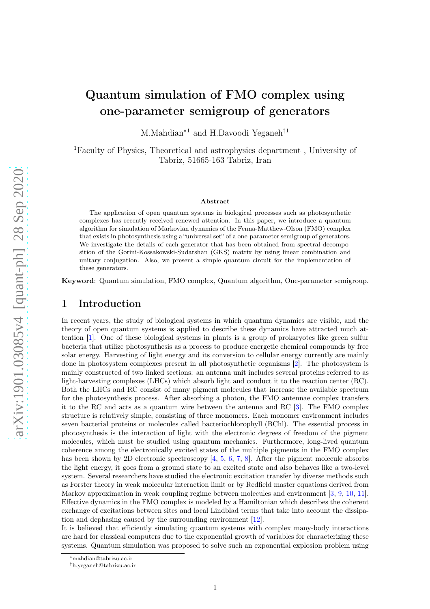# Quantum simulation of FMO complex using one-parameter semigroup of generators

M.Mahdian<sup>∗1</sup> and H.Davoodi Yeganeh<sup>†1</sup>

<sup>1</sup>Faculty of Physics, Theoretical and astrophysics department , University of Tabriz, 51665-163 Tabriz, Iran

#### Abstract

The application of open quantum systems in biological processes such as photosynthetic complexes has recently received renewed attention. In this paper, we introduce a quantum algorithm for simulation of Markovian dynamics of the Fenna-Matthew-Olson (FMO) complex that exists in photosynthesis using a "universal set" of a one-parameter semigroup of generators. We investigate the details of each generator that has been obtained from spectral decomposition of the Gorini-Kossakowski-Sudarshan (GKS) matrix by using linear combination and unitary conjugation. Also, we present a simple quantum circuit for the implementation of these generators.

Keyword: Quantum simulation, FMO complex, Quantum algorithm, One-parameter semigroup.

## 1 Introduction

In recent years, the study of biological systems in which quantum dynamics are visible, and the theory of open quantum systems is applied to describe these dynamics have attracted much attention [\[1\]](#page-6-0). One of these biological systems in plants is a group of prokaryotes like green sulfur bacteria that utilize photosynthesis as a process to produce energetic chemical compounds by free solar energy. Harvesting of light energy and its conversion to cellular energy currently are mainly done in photosystem complexes present in all photosynthetic organisms [\[2\]](#page-6-1). The photosystem is mainly constructed of two linked sections: an antenna unit includes several proteins referred to as light-harvesting complexes (LHCs) which absorb light and conduct it to the reaction center (RC). Both the LHCs and RC consist of many pigment molecules that increase the available spectrum for the photosynthesis process. After absorbing a photon, the FMO antennae complex transfers it to the RC and acts as a quantum wire between the antenna and RC [\[3\]](#page-6-2). The FMO complex structure is relatively simple, consisting of three monomers. Each monomer environment includes seven bacterial proteins or molecules called bacteriochlorophyll (BChl). The essential process in photosynthesis is the interaction of light with the electronic degrees of freedom of the pigment molecules, which must be studied using quantum mechanics. Furthermore, long-lived quantum coherence among the electronically excited states of the multiple pigments in the FMO complex has been shown by 2D electronic spectroscopy [\[4,](#page-6-3) [5,](#page-6-4) [6,](#page-7-0) [7,](#page-7-1) [8\]](#page-7-2). After the pigment molecule absorbs the light energy, it goes from a ground state to an excited state and also behaves like a two-level system. Several researchers have studied the electronic excitation transfer by diverse methods such as Forster theory in weak molecular interaction limit or by Redfield master equations derived from Markov approximation in weak coupling regime between molecules and environment [\[3,](#page-6-2) [9,](#page-7-3) [10,](#page-7-4) [11\]](#page-7-5). Effective dynamics in the FMO complex is modeled by a Hamiltonian which describes the coherent exchange of excitations between sites and local Lindblad terms that take into account the dissipation and dephasing caused by the surrounding environment [\[12\]](#page-7-6).

It is believed that efficiently simulating quantum systems with complex many-body interactions are hard for classical computers due to the exponential growth of variables for characterizing these systems. Quantum simulation was proposed to solve such an exponential explosion problem using

<sup>∗</sup>mahdian@tabrizu.ac.ir

<sup>†</sup>h.yeganeh@tabrizu.ac.ir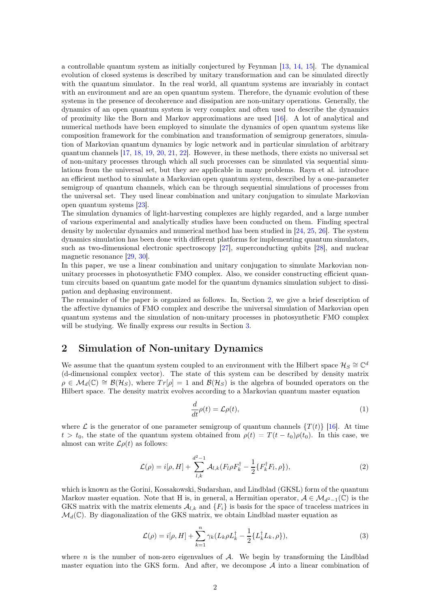a controllable quantum system as initially conjectured by Feynman [\[13,](#page-7-7) [14,](#page-7-8) [15\]](#page-7-9). The dynamical evolution of closed systems is described by unitary transformation and can be simulated directly with the quantum simulator. In the real world, all quantum systems are invariably in contact with an environment and are an open quantum system. Therefore, the dynamic evolution of these systems in the presence of decoherence and dissipation are non-unitary operations. Generally, the dynamics of an open quantum system is very complex and often used to describe the dynamics of proximity like the Born and Markov approximations are used [\[16\]](#page-7-10). A lot of analytical and numerical methods have been employed to simulate the dynamics of open quantum systems like composition framework for the combination and transformation of semigroup generators, simulation of Markovian quantum dynamics by logic network and in particular simulation of arbitrary quantum channels [\[17,](#page-7-11) [18,](#page-7-12) [19,](#page-7-13) [20,](#page-7-14) [21,](#page-7-15) [22\]](#page-7-16). However, in these methods, there exists no universal set of non-unitary processes through which all such processes can be simulated via sequential simulations from the universal set, but they are applicable in many problems. Rayn et al. introduce an efficient method to simulate a Markovian open quantum system, described by a one-parameter semigroup of quantum channels, which can be through sequential simulations of processes from the universal set. They used linear combination and unitary conjugation to simulate Markovian open quantum systems [\[23\]](#page-7-17).

The simulation dynamics of light-harvesting complexes are highly regarded, and a large number of various experimental and analytically studies have been conducted on them. Finding spectral density by molecular dynamics and numerical method has been studied in [\[24,](#page-7-18) [25,](#page-8-0) [26\]](#page-8-1). The system dynamics simulation has been done with different platforms for implementing quantum simulators, such as two-dimensional electronic spectroscopy [\[27\]](#page-8-2), superconducting qubits [\[28\]](#page-8-3), and nuclear magnetic resonance [\[29,](#page-8-4) [30\]](#page-8-5).

In this paper, we use a linear combination and unitary conjugation to simulate Markovian nonunitary processes in photosynthetic FMO complex. Also, we consider constructing efficient quantum circuits based on quantum gate model for the quantum dynamics simulation subject to dissipation and dephasing environment.

The remainder of the paper is organized as follows. In, Section [2,](#page-1-0) we give a brief description of the affective dynamics of FMO complex and describe the universal simulation of Markovian open quantum systems and the simulation of non-unitary processes in photosynthetic FMO complex will be studying. We finally express our results in Section [3.](#page-6-5)

# <span id="page-1-0"></span>2 Simulation of Non-unitary Dynamics

We assume that the quantum system coupled to an environment with the Hilbert space  $\mathcal{H}_S \cong \mathbb{C}^d$ (d-dimensional complex vector). The state of this system can be described by density matrix  $\rho \in \mathcal{M}_d(\mathbb{C}) \cong \mathcal{B}(\mathcal{H}_S)$ , where  $Tr[\rho] = 1$  and  $\mathcal{B}(\mathcal{H}_S)$  is the algebra of bounded operators on the Hilbert space. The density matrix evolves according to a Markovian quantum master equation

$$
\frac{d}{dt}\rho(t) = \mathcal{L}\rho(t),\tag{1}
$$

where  $\mathcal L$  is the generator of one parameter semigroup of quantum channels  $\{T(t)\}\$  [\[16\]](#page-7-10). At time  $t > t_0$ , the state of the quantum system obtained from  $\rho(t) = T(t - t_0)\rho(t_0)$ . In this case, we almost can write  $\mathcal{L}\rho(t)$  as follows:

$$
\mathcal{L}(\rho) = i[\rho, H] + \sum_{l,k}^{d^2 - 1} \mathcal{A}_{l,k} (F_l \rho F_k^{\dagger} - \frac{1}{2} \{ F_k^{\dagger} F_l, \rho \}), \tag{2}
$$

which is known as the Gorini, Kossakowski, Sudarshan, and Lindblad (GKSL) form of the quantum Markov master equation. Note that H is, in general, a Hermitian operator,  $A \in \mathcal{M}_{d^2-1}(\mathbb{C})$  is the GKS matrix with the matrix elements  $\mathcal{A}_{l,k}$  and  $\{F_i\}$  is basis for the space of traceless matrices in  $\mathcal{M}_d(\mathbb{C})$ . By diagonalization of the GKS matrix, we obtain Lindblad master equation as

$$
\mathcal{L}(\rho) = i[\rho, H] + \sum_{k=1}^{n} \gamma_k (L_k \rho L_k^{\dagger} - \frac{1}{2} \{L_k^{\dagger} L_k, \rho\}),
$$
\n(3)

where  $n$  is the number of non-zero eigenvalues of  $A$ . We begin by transforming the Lindblad master equation into the GKS form. And after, we decompose  $A$  into a linear combination of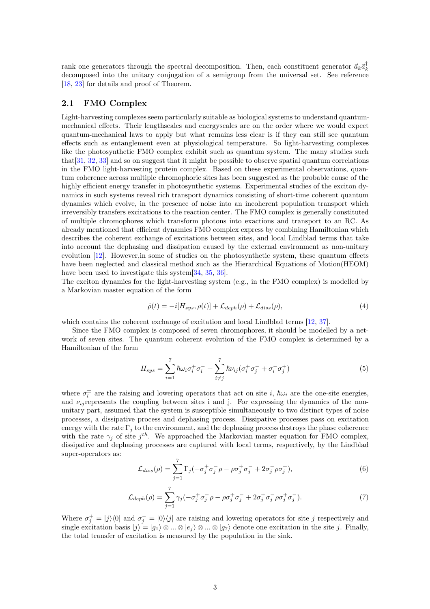rank one generators through the spectral decomposition. Then, each constituent generator  $\vec{a}_k \vec{a}_k^{\dagger}$ decomposed into the unitary conjugation of a semigroup from the universal set. See reference [\[18,](#page-7-12) [23\]](#page-7-17) for details and proof of Theorem.

#### 2.1 FMO Complex

Light-harvesting complexes seem particularly suitable as biological systems to understand quantummechanical effects. Their lengthscales and energyscales are on the order where we would expect quantum-mechanical laws to apply but what remains less clear is if they can still see quantum effects such as entanglement even at physiological temperature. So light-harvesting complexes like the photosynthetic FMO complex exhibit such as quantum system. The many studies such that[\[31,](#page-8-6) [32,](#page-8-7) [33\]](#page-8-8) and so on suggest that it might be possible to observe spatial quantum correlations in the FMO light-harvesting protein complex. Based on these experimental observations, quantum coherence across multiple chromophoric sites has been suggested as the probable cause of the highly efficient energy transfer in photosynthetic systems. Experimental studies of the exciton dynamics in such systems reveal rich transport dynamics consisting of short-time coherent quantum dynamics which evolve, in the presence of noise into an incoherent population transport which irreversibly transfers excitations to the reaction center. The FMO complex is generally constituted of multiple chromophores which transform photons into exactions and transport to an RC. As already mentioned that efficient dynamics FMO complex express by combining Hamiltonian which describes the coherent exchange of excitations between sites, and local Lindblad terms that take into account the dephasing and dissipation caused by the external environment as non-unitary evolution [\[12\]](#page-7-6). However,in some of studies on the photosynthetic system, these quantum effects have been neglected and classical method such as the Hierarchical Equations of Motion(HEOM) have been used to investigate this system[\[34,](#page-8-9) [35,](#page-8-10) [36\]](#page-8-11).

The exciton dynamics for the light-harvesting system (e.g., in the FMO complex) is modelled by a Markovian master equation of the form

$$
\dot{\rho}(t) = -i[H_{sys}, \rho(t)] + \mathcal{L}_{deph}(\rho) + \mathcal{L}_{diss}(\rho),\tag{4}
$$

which contains the coherent exchange of excitation and local Lindblad terms [\[12,](#page-7-6) [37\]](#page-8-12).

Since the FMO complex is composed of seven chromophores, it should be modelled by a network of seven sites. The quantum coherent evolution of the FMO complex is determined by a Hamiltonian of the form

$$
H_{sys} = \sum_{i=1}^{7} \hbar \omega_i \sigma_i^+ \sigma_i^- + \sum_{i \neq j}^{7} \hbar \nu_{ij} (\sigma_i^+ \sigma_j^- + \sigma_i^- \sigma_j^+) \tag{5}
$$

where  $\sigma_i^{\pm}$  are the raising and lowering operators that act on site i,  $\hbar\omega_i$  are the one-site energies, and  $\nu_{ij}$  represents the coupling between sites i and j. For expressing the dynamics of the nonunitary part, assumed that the system is susceptible simultaneously to two distinct types of noise processes, a dissipative process and dephasing process. Dissipative processes pass on excitation energy with the rate  $\Gamma_i$  to the environment, and the dephasing process destroys the phase coherence with the rate  $\gamma_j$  of site  $j^{th}$ . We approached the Markovian master equation for FMO complex, dissipative and dephasing processes are captured with local terms, respectively, by the Lindblad super-operators as:

$$
\mathcal{L}_{diss}(\rho) = \sum_{j=1}^{7} \Gamma_j \left( -\sigma_j^+ \sigma_j^- \rho - \rho \sigma_j^+ \sigma_j^- + 2\sigma_j^- \rho \sigma_j^+ \right),\tag{6}
$$

$$
\mathcal{L}_{deph}(\rho) = \sum_{j=1}^{7} \gamma_j \left( -\sigma_j^+ \sigma_j^- \rho - \rho \sigma_j^+ \sigma_j^- + 2\sigma_j^+ \sigma_j^- \rho \sigma_j^+ \sigma_j^- \right). \tag{7}
$$

Where  $\sigma_j^+ = |j\rangle\langle 0|$  and  $\sigma_j^- = |0\rangle\langle j|$  are raising and lowering operators for site j respectively and single excitation basis  $|j\rangle = |q_1\rangle \otimes ... \otimes |e_i\rangle \otimes ... \otimes |q_7\rangle$  denote one excitation in the site j. Finally, the total transfer of excitation is measured by the population in the sink.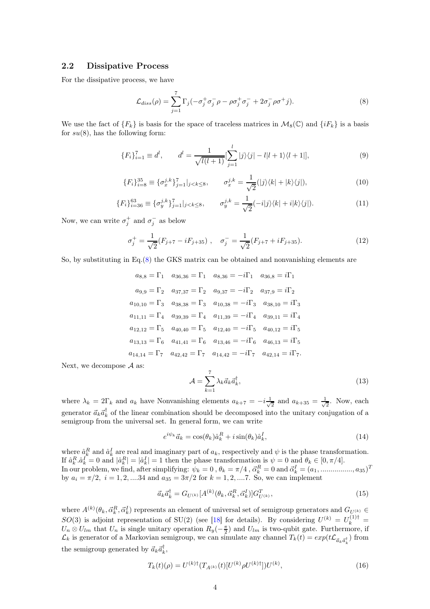#### 2.2 Dissipative Process

For the dissipative process, we have

<span id="page-3-0"></span>
$$
\mathcal{L}_{diss}(\rho) = \sum_{j=1}^{7} \Gamma_j(-\sigma_j^+ \sigma_j^- \rho - \rho \sigma_j^+ \sigma_j^- + 2\sigma_j^- \rho \sigma^+ j). \tag{8}
$$

We use the fact of  ${F_k}$  is basis for the space of traceless matrices in  $\mathcal{M}_8(\mathbb{C})$  and  $\{iF_k\}$  is a basis for  $su(8)$ , has the following form:

$$
\{F_i\}_{i=1}^7 \equiv d^l, \qquad d^l = \frac{1}{\sqrt{l(l+1)}} \left[\sum_{j=1}^l |j\rangle\langle j| - l|l+1\rangle\langle l+1|\right],\tag{9}
$$

$$
\{F_i\}_{i=8}^{35} \equiv \{\sigma_x^{j,k}\}_{j=1}^7 |_{j < k \le 8}, \qquad \sigma_x^{j,k} = \frac{1}{\sqrt{2}} (|j\rangle\langle k| + |k\rangle\langle j|), \tag{10}
$$

$$
\{F_i\}_{i=36}^{63} \equiv \{\sigma_y^{j,k}\}_{j=1}^7 |_{j < k \le 8}, \qquad \sigma_y^{j,k} = \frac{1}{\sqrt{2}}(-i|j\rangle\langle k| + i|k\rangle\langle j|). \tag{11}
$$

Now, we can write  $\sigma_j^+$  and  $\sigma_j^-$  as below

$$
\sigma_j^+ = \frac{1}{\sqrt{2}} (F_{j+7} - iF_{j+35}), \quad \sigma_j^- = \frac{1}{\sqrt{2}} (F_{j+7} + iF_{j+35}). \tag{12}
$$

So, by substituting in Eq.[\(8\)](#page-3-0) the GKS matrix can be obtained and nonvanishing elements are

$$
a_{8,8} = \Gamma_1 \quad a_{36,36} = \Gamma_1 \quad a_{8,36} = -i\Gamma_1 \quad a_{36,8} = i\Gamma_1
$$
  
\n
$$
a_{9,9} = \Gamma_2 \quad a_{37,37} = \Gamma_2 \quad a_{9,37} = -i\Gamma_2 \quad a_{37,9} = i\Gamma_2
$$
  
\n
$$
a_{10,10} = \Gamma_3 \quad a_{38,38} = \Gamma_3 \quad a_{10,38} = -i\Gamma_3 \quad a_{38,10} = i\Gamma_3
$$
  
\n
$$
a_{11,11} = \Gamma_4 \quad a_{39,39} = \Gamma_4 \quad a_{11,39} = -i\Gamma_4 \quad a_{39,11} = i\Gamma_4
$$
  
\n
$$
a_{12,12} = \Gamma_5 \quad a_{40,40} = \Gamma_5 \quad a_{12,40} = -i\Gamma_5 \quad a_{40,12} = i\Gamma_5
$$
  
\n
$$
a_{13,13} = \Gamma_6 \quad a_{41,41} = \Gamma_6 \quad a_{13,46} = -i\Gamma_6 \quad a_{46,13} = i\Gamma_5
$$
  
\n
$$
a_{14,14} = \Gamma_7 \quad a_{42,42} = \Gamma_7 \quad a_{14,42} = -i\Gamma_7 \quad a_{42,14} = i\Gamma_7.
$$

Next, we decompose  $A$  as:

$$
\mathcal{A} = \sum_{k=1}^{7} \lambda_k \vec{a}_k \vec{a}_k^{\dagger},\tag{13}
$$

where  $\lambda_k = 2\Gamma_k$  and  $a_k$  have Nonvanishing elements  $a_{k+7} = -i\frac{1}{\sqrt{k}}$  $\frac{1}{2}$  and  $a_{k+35} = \frac{1}{\sqrt{2}}$ 2 . Now, each generator  $\vec{a}_k \vec{a}_k^{\dagger}$  of the linear combination should be decomposed into the unitary conjugation of a semigroup from the universal set. In general form, we can write

$$
e^{i\psi_k}\vec{a}_k = \cos(\theta_k)\hat{a}_k^R + i\sin(\theta_k)\hat{a}_k^I,
$$
\n(14)

where  $\hat{a}_k^R$  and  $\hat{a}_k^I$  are real and imaginary part of  $a_k$ , respectively and  $\psi$  is the phase transformation. If  $\hat{a}_k^R \cdot \hat{a}_k^I = 0$  and  $|\hat{a}_k^R| = |\hat{a}_k^I| = 1$  then the phase transformation is  $\psi = 0$  and  $\theta_k \in [0, \pi/4]$ . In our problem, we find, after simplifying:  $\psi_k = 0$ ,  $\theta_k = \pi/4$ ,  $\vec{\alpha}_k^R = 0$  and  $\vec{\alpha}_k^I = (a_1, \dots, a_{35})^T$ by  $a_i = \pi/2$ ,  $i = 1, 2, \dots 34$  and  $a_{35} = 3\pi/2$  for  $k = 1, 2, \dots 7$ . So, we can implement

$$
\vec{a}_k \vec{a}_k^{\dagger} = G_{U^{(k)}}[A^{(k)}(\theta_k, \vec{\alpha}_k^R, \vec{\alpha}_k^I)] G_{U^{(k)}}^T,
$$
\n(15)

where  $A^{(k)}(\theta_k, \vec{\alpha}_k^R, \vec{\alpha}_k^I)$  represents an element of universal set of semigroup generators and  $G_{U^{(k)}} \in$  $SO(3)$  is adjoint representation of SU(2) (see [\[18\]](#page-7-12) for details). By considering  $U^{(k)} = U_k^{(1)\dagger} =$  $U_n \otimes U_{lm}$  that  $U_n$  is single unitary operation  $R_y(-\frac{\pi}{2})$  and  $U_{lm}$  is two-qubit gate. Furthermore, if  $\mathcal{L}_k$  is generator of a Markovian semigroup, we can simulate any channel  $T_k(t) = exp(t\mathcal{L}_{\vec{a}_k\vec{a}_k^{\dagger}})$  from the semigroup generated by  $\vec{a}_k \vec{a}_k^{\dagger}$ ,

$$
T_k(t)(\rho) = U^{(k)\dagger}(T_{A^{(k)}}(t)[U^{(k)}\rho U^{(k)\dagger}])U^{(k)},\tag{16}
$$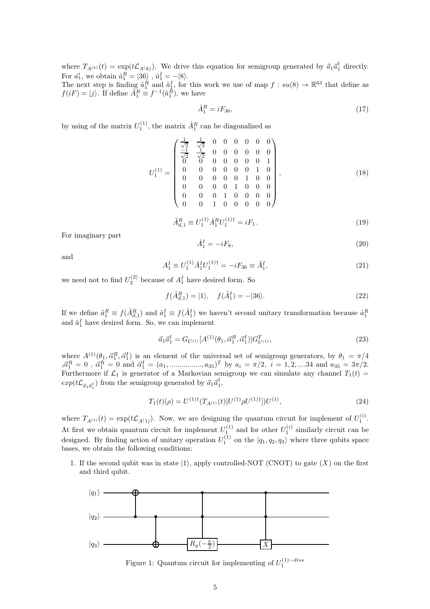where  $T_{A^{(k)}}(t) = \exp(t\mathcal{L}_{A^{(k)}})$ . We drive this equation for semigroup generated by  $\vec{a}_1 \vec{a}_1^{\dagger}$  directly. For  $\vec{a_1}$ , we obtain  $\hat{a}_1^R = |36\rangle$ ,  $\hat{a}_1^I = -|8\rangle$ .

The next step is finding  $\tilde{a}_1^R$  and  $\tilde{a}_1^I$ , for this work we use of map  $f : su(8) \to \mathbb{R}^{63}$  that define as  $f(iF) = |j\rangle$ . If define  $\hat{A}_1^R \equiv f^{-1}(\hat{a}_1^R)$ , we have

$$
\hat{A}_1^R = iF_{36},\tag{17}
$$

by using of the matrix  $U_1^{(1)}$ , the matrix  $\hat{A}_1^R$  can be diagonalized as

$$
U_1^{(1)} = \begin{pmatrix} \frac{1}{\sqrt{2}} & \frac{1}{\sqrt{2}} & 0 & 0 & 0 & 0 & 0 & 0 \\ \frac{-1}{\sqrt{2}} & \frac{1}{\sqrt{2}} & 0 & 0 & 0 & 0 & 0 & 0 \\ 0 & 0 & 0 & 0 & 0 & 0 & 0 & 1 \\ 0 & 0 & 0 & 0 & 0 & 0 & 1 & 0 \\ 0 & 0 & 0 & 0 & 1 & 0 & 0 & 0 \\ 0 & 0 & 0 & 0 & 1 & 0 & 0 & 0 \\ 0 & 0 & 0 & 1 & 0 & 0 & 0 & 0 \end{pmatrix},
$$
\n(18)

$$
\tilde{A}_{d,1}^R \equiv U_1^{(1)} \hat{A}_1^R U_1^{(1)\dagger} = iF_1.
$$
\n(19)

For imaginary part

$$
\hat{A}_1^I = -iF_8,\tag{20}
$$

and

$$
A_1^I \equiv U_1^{(1)} \hat{A}_1^I U_1^{(1)\dagger} = -i F_{36} \equiv \tilde{A}_1^I,\tag{21}
$$

we need not to find  $U_2^{(2)}$  because of  $A_1^I$  have desired form. So

$$
f(\tilde{A}_{d,1}^R) = |1\rangle, \quad f(\tilde{A}_1^I) = -|36\rangle.
$$
 (22)

If we define  $\tilde{a}_1^R \equiv f(\tilde{A}_{d,1}^R)$  and  $\tilde{a}_1^I \equiv f(\tilde{A}_1^I)$  we haven't second unitary transformation because  $\tilde{a}_1^R$ and  $\tilde{a}_1^I$  have desired form. So, we can implement

$$
\vec{a}_1 \vec{a}_1^\dagger = G_{U^{(1)}}[A^{(1)}(\theta_1, \vec{\alpha}_1^R, \vec{\alpha}_1^I)] G_{U^{(1)}}^T,
$$
\n(23)

where  $A^{(1)}(\theta_1, \vec{\alpha}_1^R, \vec{\alpha}_1^I)$  is an element of the universal set of semigroup generators, by  $\theta_1 = \pi/4$  $,\vec{\alpha}_1^R=0$ ,  $\vec{\alpha}_1^R=0$  and  $\vec{\alpha}_1^I=(a_1, \dots, a_{35})^T$  by  $a_i=\pi/2$ ,  $i=1,2,\dots,34$  and  $a_{35}=3\pi/2$ . Furthermore if  $\mathcal{L}_1$  is generator of a Markovian semigroup we can simulate any channel  $T_1(t)$  =  $exp(t\mathcal{L}_{\vec{a}_1\vec{a}_1^{\dagger}})$  from the semigroup generated by  $\vec{a}_1\vec{a}_1^{\dagger}$ ,

$$
T_1(t)(\rho) = U^{(1)\dagger}(T_{A^{(1)}}(t)[U^{(1)}\rho U^{(1)\dagger}])U^{(1)},\tag{24}
$$

where  $T_{A^{(1)}}(t) = \exp(t\mathcal{L}_{A^{(1)}})$ . Now, we are designing the quantum circuit for implement of  $U_1^{(i)}$ . At first we obtain quantum circuit for implement  $U_1^{(1)}$  and for other  $U_1^{(i)}$  similarly circuit can be designed. By finding action of unitary operation  $U_1^{(1)}$  on the  $|q_1, q_2, q_3\rangle$  where three qubits space bases, we obtain the following conditions:

1. If the second qubit was in state  $|1\rangle$ , apply controlled-NOT (CNOT) to gate  $(X)$  on the first and third qubit.



Figure 1: Quantum circuit for implementing of  $U_1^{(1)-diss}$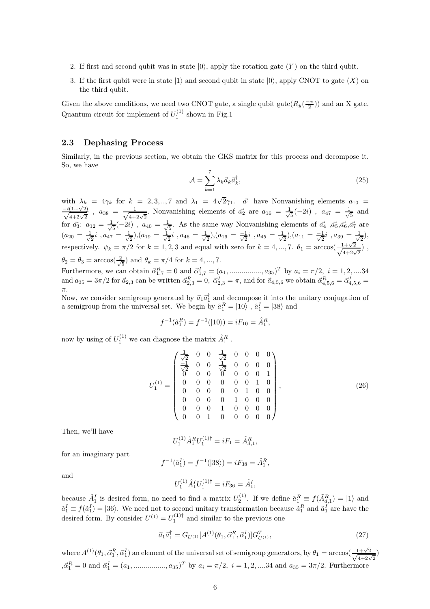- 2. If first and second qubit was in state  $|0\rangle$ , apply the rotation gate  $(Y)$  on the third qubit.
- 3. If the first qubit were in state  $|1\rangle$  and second qubit in state  $|0\rangle$ , apply CNOT to gate  $(X)$  on the third qubit.

Given the above conditions, we need two CNOT gate, a single qubit gate $(R_y(\frac{-\pi}{2}))$  and an X gate. Quantum circuit for implement of  $U_1^{(1)}$  shown in Fig.1

### 2.3 Dephasing Process

Similarly, in the previous section, we obtain the GKS matrix for this process and decompose it. So, we have

$$
\mathcal{A} = \sum_{k=1}^{7} \lambda_k \vec{a}_k \vec{a}_k^{\dagger},
$$
\n(25)

with  $\lambda_k = 4\gamma_k$  for  $k = 2, 3, \dots, 7$  and  $\lambda_1 = 4\sqrt{2}\gamma_1$ .  $\vec{a_1}$  have Nonvanishing elements  $a_{10}$  $\frac{-i(1+\sqrt{2})}{\sqrt{4+2\sqrt{2}}}$  $\frac{(1+\sqrt{2})}{4+2\sqrt{2}}$ ,  $a_{38} = \frac{1}{\sqrt{4+2\sqrt{2}}}$ . Nonvanishing elements of  $\vec{a_2}$  are  $a_{16} = \frac{1}{\sqrt{2}}$  $\frac{1}{5}(-2i)$  ,  $a_{47} = \frac{1}{\sqrt{2}}$ 5 and for  $\vec{a_3}$ :  $a_{12} = \frac{1}{\sqrt{2}}$  $\frac{1}{5}(-2i)$  ,  $a_{40} = \frac{1}{\sqrt{2}}$  $\frac{1}{5}$ . As the same way Nonvanishing elements of  $\vec{a_4}$ ,  $\vec{a_5}, \vec{a_6}, \vec{a_7}$  are  $(a_{20} = \frac{1}{\sqrt{2}})$  $\frac{1}{2}i$  ,  $a_{47}=\frac{1}{\sqrt{2}}$  $(\frac{1}{2})$ , $(a_{19} = \frac{1}{\sqrt{2}})$  $\frac{1}{2}i$  ,  $a_{46}=\frac{1}{\sqrt{2}}$  $(\frac{1}{2}), (a_{16} = \frac{-1}{\sqrt{2}}i\,\,, a_{45} = \frac{1}{\sqrt{2}}i$  $(\frac{1}{2}), (a_{11} = \frac{-1}{\sqrt{2}}i, a_{39} = \frac{1}{\sqrt{2}})$  $\frac{1}{2}),$ respectively.  $\psi_k = \pi/2$  for  $k = 1, 2, 3$  and equal with zero for  $k = 4, ..., 7$ .  $\theta_1 = \arccos(\frac{1+\sqrt{2}}{\sqrt{4+2\sqrt{2}}})$ ,  $\theta_2 = \theta_3 = \arccos(\frac{2}{\sqrt{2}})$  $(\frac{1}{5})$  and  $\theta_k = \pi/4$  for  $k = 4, ..., 7$ . Furthermore, we can obtain  $\vec{\alpha}_{1,7}^R = 0$  and  $\vec{\alpha}_{1,7}^I = (a_1, \dots, a_{35})^T$  by  $a_i = \pi/2, i = 1, 2, \dots, 34$  $\text{and } a_{35} = 3\pi/2 \text{ for } \vec{a}_{2,3} \text{ can be written } \vec{\alpha}_{2,3}^R = 0, \ \vec{\alpha}_{2,3}^I = \pi, \text{ and for } \vec{a}_{4,5,6} \text{ we obtain } \vec{\alpha}_{4,5,6}^R = \vec{\alpha}_{4,5,6}^I = 0.$ π.

Now, we consider semigroup generated by  $\vec{a}_1 \vec{a}_1^{\dagger}$  and decompose it into the unitary conjugation of a semigroup from the universal set. We begin by  $\hat{a}_1^R = |10\rangle$  ,  $\hat{a}_1^I = |38\rangle$  and

$$
f^{-1}(\hat{a}_1^R) = f^{-1}(|10\rangle) = iF_{10} = \hat{A}_1^R,
$$

now by using of  $U_1^{(1)}$  we can diagnose the matrix  $\hat{A}_1^R$ .

$$
U_1^{(1)} = \begin{pmatrix} \frac{1}{\sqrt{2}} & 0 & 0 & \frac{1}{\sqrt{2}} & 0 & 0 & 0 & 0 \\ \frac{-1}{\sqrt{2}} & 0 & 0 & \frac{1}{\sqrt{2}} & 0 & 0 & 0 & 0 \\ 0 & 0 & 0 & 0 & 0 & 0 & 0 & 1 \\ 0 & 0 & 0 & 0 & 0 & 0 & 1 & 0 \\ 0 & 0 & 0 & 0 & 0 & 1 & 0 & 0 \\ 0 & 0 & 0 & 0 & 1 & 0 & 0 & 0 \\ 0 & 0 & 0 & 1 & 0 & 0 & 0 & 0 \end{pmatrix},
$$
\n(26)

Then, we'll have

$$
U_1^{(1)} \hat{A}_1^R U_1^{(1)\dagger} = iF_1 = \tilde{A}_{d,1}^R,
$$

for an imaginary part

$$
f^{-1}(\hat{a}_1^I) = f^{-1}(|38\rangle) = iF_{38} = \hat{A}_1^R,
$$

and

$$
U_1^{(1)} \hat{A}_1^I U_1^{(1)\dagger} = iF_{36} = \tilde{A}_1^I,
$$

because  $\hat{A}_1^I$  is desired form, no need to find a matrix  $U_2^{(1)}$ . If we define  $\tilde{a}_1^R \equiv f(\tilde{A}_{d,1}^R) = |1\rangle$  and  $\tilde{a}_1^I \equiv f(\tilde{a}_1^I) = |36\rangle$ . We need not to second unitary transformation because  $\tilde{a}_1^R$  and  $\tilde{a}_1^I$  are have the desired form. By consider  $U^{(1)} = U_1^{(1)\dagger}$  and similar to the previous one

$$
\vec{a}_1 \vec{a}_1^\dagger = G_{U^{(1)}}[A^{(1)}(\theta_1, \vec{\alpha}_1^R, \vec{\alpha}_1^I)] G_{U^{(1)}}^T,
$$
\n(27)

where  $A^{(1)}(\theta_1, \vec{\alpha}_1^R, \vec{\alpha}_1^I)$  an element of the universal set of semigroup generators, by  $\theta_1 = \arccos(\frac{1+\sqrt{2}}{\sqrt{4+2\sqrt{2}}})$  $,\vec{\alpha}_1^R = 0$  and  $\vec{\alpha}_1^I = (a_1, \dots, a_{35})^T$  by  $a_i = \pi/2, i = 1, 2, \dots, 34$  and  $a_{35} = 3\pi/2$ . Furthermore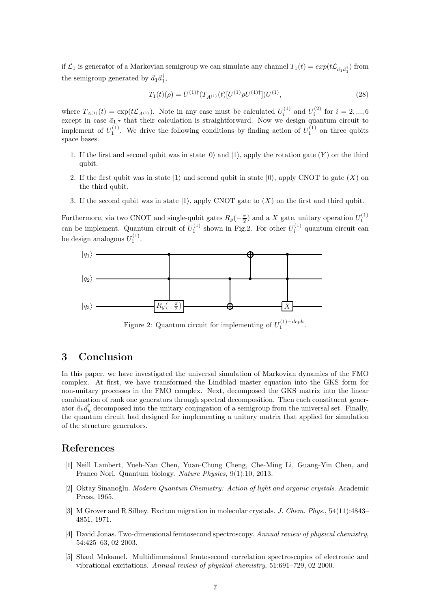if  $\mathcal{L}_1$  is generator of a Markovian semigroup we can simulate any channel  $T_1(t) = exp(t\mathcal{L}_{\vec{a}_1\vec{a}_1^\dagger})$  from the semigroup generated by  $\vec{a}_1 \vec{a}_1^{\dagger}$ ,

$$
T_1(t)(\rho) = U^{(1)\dagger}(T_{A^{(1)}}(t)[U^{(1)}\rho U^{(1)\dagger}])U^{(1)},\tag{28}
$$

where  $T_{A^{(1)}}(t) = \exp(t\mathcal{L}_{A^{(1)}})$ . Note in any case must be calculated  $U_i^{(1)}$  and  $U_i^{(2)}$  for  $i = 2, ..., 6$ except in case  $\vec{a}_{1,7}$  that their calculation is straightforward. Now we design quantum circuit to implement of  $U_1^{(1)}$ . We drive the following conditions by finding action of  $U_1^{(1)}$  on three qubits space bases.

- 1. If the first and second qubit was in state  $|0\rangle$  and  $|1\rangle$ , apply the rotation gate  $(Y)$  on the third qubit.
- 2. If the first qubit was in state  $|1\rangle$  and second qubit in state  $|0\rangle$ , apply CNOT to gate  $(X)$  on the third qubit.
- 3. If the second qubit was in state  $|1\rangle$ , apply CNOT gate to  $(X)$  on the first and third qubit.

Furthermore, via two CNOT and single-qubit gates  $R_y(-\frac{\pi}{2})$  and a X gate, unitary operation  $U_1^{(1)}$ can be implement. Quantum circuit of  $U_1^{(1)}$  shown in Fig.2. For other  $U_i^{(1)}$  quantum circuit can be design analogous  $U_1^{(1)}$ .



Figure 2: Quantum circuit for implementing of  $U_1^{(1)-deph}$ .

## <span id="page-6-5"></span>3 Conclusion

In this paper, we have investigated the universal simulation of Markovian dynamics of the FMO complex. At first, we have transformed the Lindblad master equation into the GKS form for non-unitary processes in the FMO complex. Next, decomposed the GKS matrix into the linear combination of rank one generators through spectral decomposition. Then each constituent generator  $\vec{a}_k \vec{a}_k^{\dagger}$  decomposed into the unitary conjugation of a semigroup from the universal set. Finally, the quantum circuit had designed for implementing a unitary matrix that applied for simulation of the structure generators.

## <span id="page-6-0"></span>References

- [1] Neill Lambert, Yueh-Nan Chen, Yuan-Chung Cheng, Che-Ming Li, Guang-Yin Chen, and Franco Nori. Quantum biology. *Nature Physics*, 9(1):10, 2013.
- <span id="page-6-1"></span>[2] Oktay Sinanoğlu. *Modern Quantum Chemistry: Action of light and organic crystals*. Academic Press, 1965.
- <span id="page-6-2"></span>[3] M Grover and R Silbey. Exciton migration in molecular crystals. *J. Chem. Phys.*, 54(11):4843– 4851, 1971.
- <span id="page-6-3"></span>[4] David Jonas. Two-dimensional femtosecond spectroscopy. *Annual review of physical chemistry*, 54:425–63, 02 2003.
- <span id="page-6-4"></span>[5] Shaul Mukamel. Multidimensional femtosecond correlation spectroscopies of electronic and vibrational excitations. *Annual review of physical chemistry*, 51:691–729, 02 2000.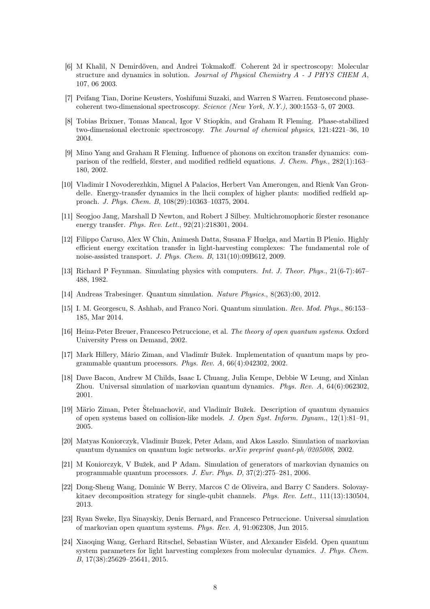- <span id="page-7-0"></span>[6] M Khalil, N Demirdöven, and Andrei Tokmakoff. Coherent 2d ir spectroscopy: Molecular structure and dynamics in solution. *Journal of Physical Chemistry A - J PHYS CHEM A*, 107, 06 2003.
- <span id="page-7-1"></span>[7] Peifang Tian, Dorine Keusters, Yoshifumi Suzaki, and Warren S Warren. Femtosecond phasecoherent two-dimensional spectroscopy. *Science (New York, N.Y.)*, 300:1553–5, 07 2003.
- <span id="page-7-2"></span>[8] Tobias Brixner, Tomas Mancal, Igor V Stiopkin, and Graham R Fleming. Phase-stabilized two-dimensional electronic spectroscopy. *The Journal of chemical physics*, 121:4221–36, 10 2004.
- <span id="page-7-3"></span>[9] Mino Yang and Graham R Fleming. Influence of phonons on exciton transfer dynamics: comparison of the redfield, förster, and modified redfield equations. *J. Chem. Phys.*, 282(1):163– 180, 2002.
- <span id="page-7-4"></span>[10] Vladimir I Novoderezhkin, Miguel A Palacios, Herbert Van Amerongen, and Rienk Van Grondelle. Energy-transfer dynamics in the lhcii complex of higher plants: modified redfield approach. *J. Phys. Chem. B*, 108(29):10363–10375, 2004.
- <span id="page-7-5"></span>[11] Seogjoo Jang, Marshall D Newton, and Robert J Silbey. Multichromophoric förster resonance energy transfer. *Phys. Rev. Lett.*, 92(21):218301, 2004.
- <span id="page-7-6"></span>[12] Filippo Caruso, Alex W Chin, Animesh Datta, Susana F Huelga, and Martin B Plenio. Highly efficient energy excitation transfer in light-harvesting complexes: The fundamental role of noise-assisted transport. *J. Phys. Chem. B*, 131(10):09B612, 2009.
- <span id="page-7-8"></span><span id="page-7-7"></span>[13] Richard P Feynman. Simulating physics with computers. *Int. J. Theor. Phys.*, 21(6-7):467– 488, 1982.
- <span id="page-7-9"></span>[14] Andreas Trabesinger. Quantum simulation. *Nature Physics.*, 8(263):00, 2012.
- [15] I. M. Georgescu, S. Ashhab, and Franco Nori. Quantum simulation. *Rev. Mod. Phys.*, 86:153– 185, Mar 2014.
- <span id="page-7-10"></span>[16] Heinz-Peter Breuer, Francesco Petruccione, et al. *The theory of open quantum systems*. Oxford University Press on Demand, 2002.
- <span id="page-7-11"></span>[17] Mark Hillery, Mário Ziman, and Vladimír Bužek. Implementation of quantum maps by programmable quantum processors. *Phys. Rev. A*, 66(4):042302, 2002.
- <span id="page-7-12"></span>[18] Dave Bacon, Andrew M Childs, Isaac L Chuang, Julia Kempe, Debbie W Leung, and Xinlan Zhou. Universal simulation of markovian quantum dynamics. *Phys. Rev. A*, 64(6):062302, 2001.
- <span id="page-7-13"></span>[19] Märio Ziman, Peter Štelmachovič, and Vladimír Bužek. Description of quantum dynamics of open systems based on collision-like models. *J. Open Syst. Inform. Dynam.*, 12(1):81–91, 2005.
- <span id="page-7-14"></span>[20] Matyas Koniorczyk, Vladimir Buzek, Peter Adam, and Akos Laszlo. Simulation of markovian quantum dynamics on quantum logic networks. *arXiv preprint quant-ph/0205008*, 2002.
- <span id="page-7-15"></span>[21] M Koniorczyk, V Bužek, and P Adam. Simulation of generators of markovian dynamics on programmable quantum processors. *J. Eur. Phys. D*, 37(2):275–281, 2006.
- <span id="page-7-16"></span>[22] Dong-Sheng Wang, Dominic W Berry, Marcos C de Oliveira, and Barry C Sanders. Solovaykitaev decomposition strategy for single-qubit channels. *Phys. Rev. Lett.*, 111(13):130504, 2013.
- <span id="page-7-17"></span>[23] Ryan Sweke, Ilya Sinayskiy, Denis Bernard, and Francesco Petruccione. Universal simulation of markovian open quantum systems. *Phys. Rev. A*, 91:062308, Jun 2015.
- <span id="page-7-18"></span>[24] Xiaoqing Wang, Gerhard Ritschel, Sebastian Wüster, and Alexander Eisfeld. Open quantum system parameters for light harvesting complexes from molecular dynamics. *J. Phys. Chem. B*, 17(38):25629–25641, 2015.